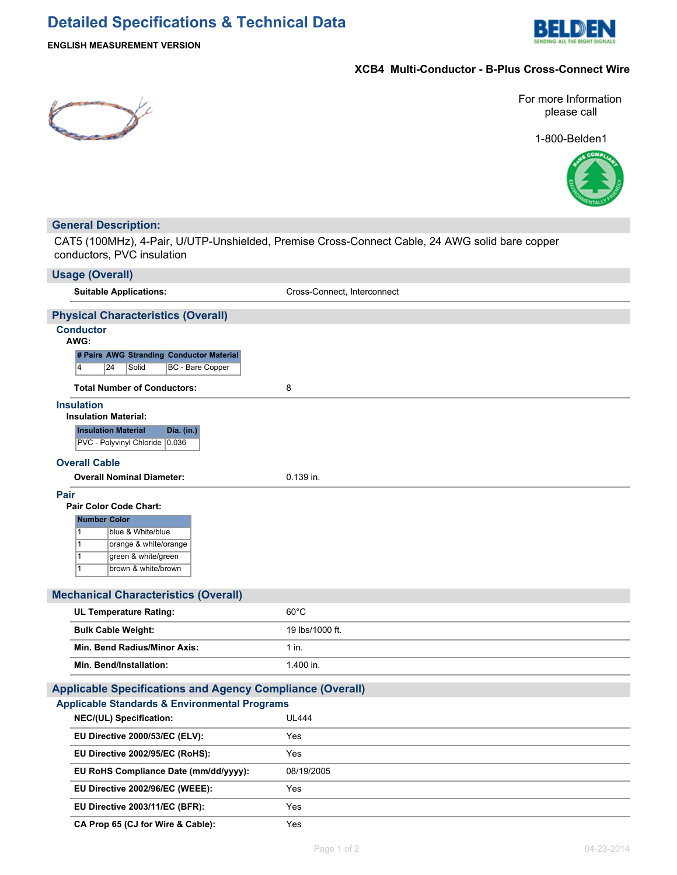# **Detailed Specifications & Technical Data**



## **ENGLISH MEASUREMENT VERSION**

## **XCB4 Multi-Conductor - B-Plus Cross-Connect Wire**



For more Information please call

1-800-Belden1



## **General Description:**

CAT5 (100MHz), 4-Pair, U/UTP-Unshielded, Premise Cross-Connect Cable, 24 AWG solid bare copper conductors, PVC insulation

| <b>Usage (Overall)</b>                                                                                                                                                                     |                             |  |  |  |
|--------------------------------------------------------------------------------------------------------------------------------------------------------------------------------------------|-----------------------------|--|--|--|
| <b>Suitable Applications:</b>                                                                                                                                                              | Cross-Connect, Interconnect |  |  |  |
| <b>Physical Characteristics (Overall)</b>                                                                                                                                                  |                             |  |  |  |
| <b>Conductor</b><br>AWG:                                                                                                                                                                   |                             |  |  |  |
| # Pairs AWG Stranding Conductor Material<br>BC - Bare Copper<br>14<br>24<br>Solid                                                                                                          |                             |  |  |  |
| <b>Total Number of Conductors:</b>                                                                                                                                                         | 8                           |  |  |  |
| <b>Insulation</b><br><b>Insulation Material:</b><br><b>Insulation Material</b><br>Dia. (in.)<br>PVC - Polyvinyl Chloride 0.036                                                             |                             |  |  |  |
| <b>Overall Cable</b>                                                                                                                                                                       |                             |  |  |  |
| <b>Overall Nominal Diameter:</b>                                                                                                                                                           | 0.139 in.                   |  |  |  |
| <b>Pair Color Code Chart:</b><br><b>Number Color</b><br>1<br>blue & White/blue<br>orange & white/orange<br>$\mathbf{1}$<br>$\mathbf{1}$<br>green & white/green<br>1<br>brown & white/brown |                             |  |  |  |
| <b>Mechanical Characteristics (Overall)</b>                                                                                                                                                |                             |  |  |  |
| <b>UL Temperature Rating:</b>                                                                                                                                                              | $60^{\circ}$ C              |  |  |  |
| <b>Bulk Cable Weight:</b>                                                                                                                                                                  | 19 lbs/1000 ft.             |  |  |  |
| Min. Bend Radius/Minor Axis:                                                                                                                                                               | $1$ in.                     |  |  |  |
| <b>Min. Bend/Installation:</b>                                                                                                                                                             | 1.400 in.                   |  |  |  |
| <b>Applicable Specifications and Agency Compliance (Overall)</b>                                                                                                                           |                             |  |  |  |
| <b>Applicable Standards &amp; Environmental Programs</b>                                                                                                                                   |                             |  |  |  |
| NEC/(UL) Specification:                                                                                                                                                                    | <b>UL444</b>                |  |  |  |
| EU Directive 2000/53/EC (ELV):                                                                                                                                                             | Yes                         |  |  |  |
| EU Directive 2002/95/EC (RoHS):                                                                                                                                                            | Yes                         |  |  |  |
| EU RoHS Compliance Date (mm/dd/yyyy):                                                                                                                                                      | 08/19/2005                  |  |  |  |
| EU Directive 2002/96/EC (WEEE):                                                                                                                                                            | Yes                         |  |  |  |
| EU Directive 2003/11/EC (BFR):                                                                                                                                                             | Yes                         |  |  |  |

**CA Prop 65 (CJ for Wire & Cable):** Yes